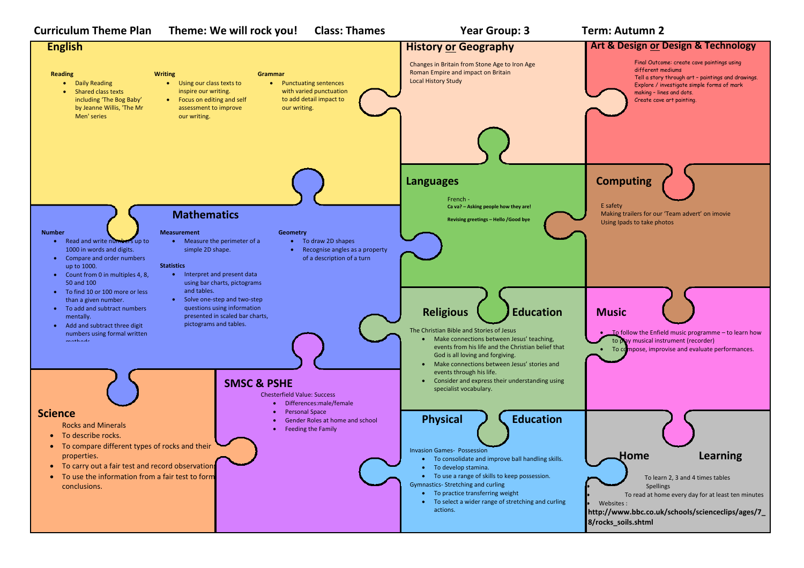